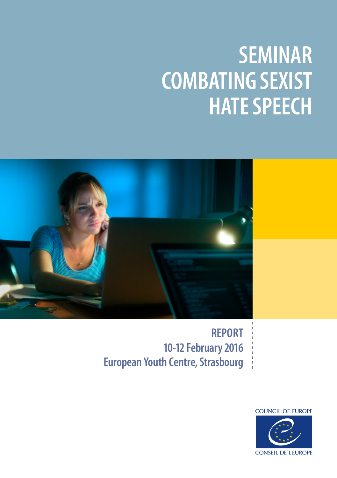# **SEMINAR COMBATING SEXIST HATE SPEECH**



**REPORT 10-12 February 2016 European Youth Centre, Strasbourg** 

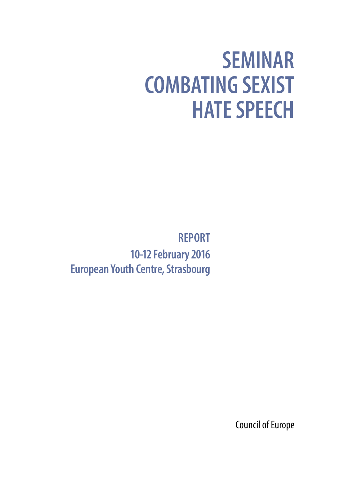# **SEMINAR COMBATING SEXIST HATE SPEECH**

**REPORT 10-12 February 2016 European Youth Centre, Strasbourg** 

Council of Europe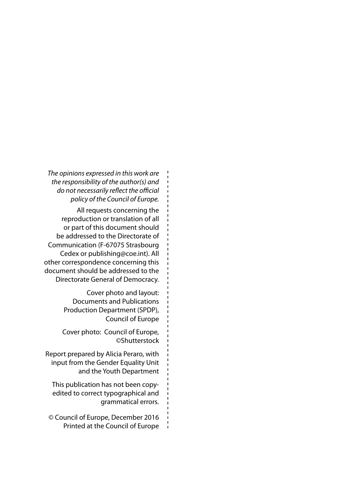*The opinions expressed in this work are the responsibility of the author(s) and do not necessarily reflect the official policy of the Council of Europe.*

All requests concerning the reproduction or translation of all or part of this document should be addressed to the Directorate of Communication (F-67075 Strasbourg Cedex or publishing@coe.int). All other correspondence concerning this document should be addressed to the Directorate General of Democracy.

> Cover photo and layout: Documents and Publications Production Department (SPDP), Council of Europe

Cover photo: Council of Europe, ©Shutterstock

Report prepared by Alicia Peraro, with input from the Gender Equality Unit and the Youth Department

This publication has not been copyedited to correct typographical and grammatical errors.

© Council of Europe, December 2016 Printed at the Council of Europe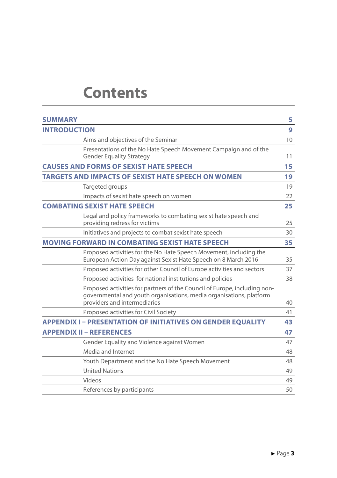### **Contents**

| <b>SUMMARY</b>                                                                                                                                                                   | 5  |
|----------------------------------------------------------------------------------------------------------------------------------------------------------------------------------|----|
| <b>INTRODUCTION</b>                                                                                                                                                              | 9  |
| Aims and objectives of the Seminar                                                                                                                                               | 10 |
| Presentations of the No Hate Speech Movement Campaign and of the<br><b>Gender Equality Strategy</b>                                                                              | 11 |
| <b>CAUSES AND FORMS OF SEXIST HATE SPEECH</b>                                                                                                                                    | 15 |
| TARGETS AND IMPACTS OF SEXIST HATE SPEECH ON WOMEN                                                                                                                               | 19 |
| Targeted groups                                                                                                                                                                  | 19 |
| Impacts of sexist hate speech on women                                                                                                                                           | 22 |
| <b>COMBATING SEXIST HATE SPEECH</b>                                                                                                                                              | 25 |
| Legal and policy frameworks to combating sexist hate speech and<br>providing redress for victims                                                                                 | 25 |
| Initiatives and projects to combat sexist hate speech                                                                                                                            | 30 |
| <b>MOVING FORWARD IN COMBATING SEXIST HATE SPEECH</b>                                                                                                                            | 35 |
| Proposed activities for the No Hate Speech Movement, including the<br>European Action Day against Sexist Hate Speech on 8 March 2016                                             | 35 |
| Proposed activities for other Council of Europe activities and sectors                                                                                                           | 37 |
| Proposed activities for national institutions and policies                                                                                                                       | 38 |
| Proposed activities for partners of the Council of Europe, including non-<br>governmental and youth organisations, media organisations, platform<br>providers and intermediaries | 40 |
| Proposed activities for Civil Society                                                                                                                                            | 41 |
| <b>APPENDIX I - PRESENTATION OF INITIATIVES ON GENDER EQUALITY</b>                                                                                                               | 43 |
| <b>APPENDIX II - REFERENCES</b>                                                                                                                                                  | 47 |
| Gender Equality and Violence against Women                                                                                                                                       | 47 |
| Media and Internet                                                                                                                                                               | 48 |
| Youth Department and the No Hate Speech Movement                                                                                                                                 | 48 |
| <b>United Nations</b>                                                                                                                                                            | 49 |
| Videos                                                                                                                                                                           | 49 |
| References by participants                                                                                                                                                       | 50 |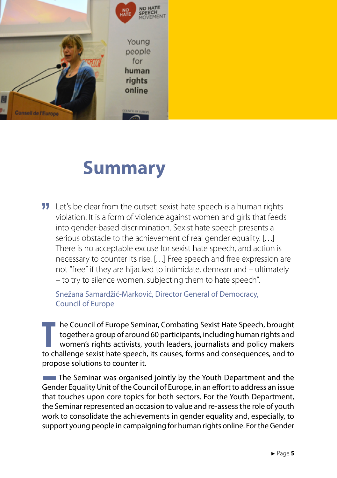<span id="page-6-0"></span>

### **Summary**

**11** Let's be clear from the outset: sexist hate speech is a human rights violation. It is a form of violence against women and girls that feeds into gender-based discrimination. Sexist hate speech presents a serious obstacle to the achievement of real gender equality. […] There is no acceptable excuse for sexist hate speech, and action is necessary to counter its rise. […] Free speech and free expression are not "free" if they are hijacked to intimidate, demean and – ultimately – to try to silence women, subjecting them to hate speech".

Snežana Samardžić-Marković, Director General of Democracy, Council of Europe

**THE COUNTIES THE COUNTIES AND THE SPEECH SPEECH ASSEM IN THE SPEECH SPEECH SPEECH SPEECH SPEECH SPEECH SPEECH SPEECH SPEECH SPEECH SPEECH SPEECH SPEECH SPEECH SPEECH SPEECH SPEECH SPEECH SPEECH SPEECH SPEECH SPEECH SPEECH** he Council of Europe Seminar, Combating Sexist Hate Speech, brought together a group of around 60 participants, including human rights and women's rights activists, youth leaders, journalists and policy makers propose solutions to counter it.

**The Seminar was organised jointly by the Youth Department and the** Gender Equality Unit of the Council of Europe, in an effort to address an issue that touches upon core topics for both sectors. For the Youth Department, the Seminar represented an occasion to value and re-assess the role of youth work to consolidate the achievements in gender equality and, especially, to support young people in campaigning for human rights online. For the Gender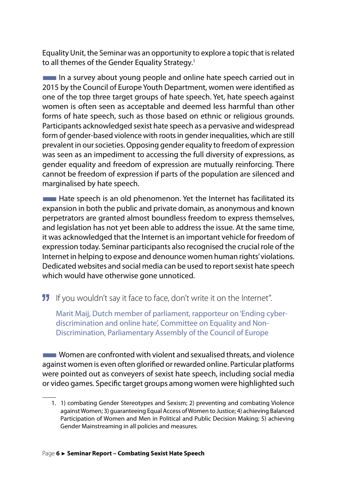Equality Unit, the Seminar was an opportunity to explore a topic that is related to all themes of the Gender Equality Strategy.<sup>1</sup>

 $\blacksquare$  In a survey about young people and online hate speech carried out in 2015 by the Council of Europe Youth Department, women were identified as one of the top three target groups of hate speech. Yet, hate speech against women is often seen as acceptable and deemed less harmful than other forms of hate speech, such as those based on ethnic or religious grounds. Participants acknowledged sexist hate speech as a pervasive and widespread form of gender-based violence with roots in gender inequalities, which are still prevalent in our societies. Opposing gender equality to freedom of expression was seen as an impediment to accessing the full diversity of expressions, as gender equality and freedom of expression are mutually reinforcing. There cannot be freedom of expression if parts of the population are silenced and marginalised by hate speech.

 $\blacksquare$  Hate speech is an old phenomenon. Yet the Internet has facilitated its expansion in both the public and private domain, as anonymous and known perpetrators are granted almost boundless freedom to express themselves, and legislation has not yet been able to address the issue. At the same time, it was acknowledged that the Internet is an important vehicle for freedom of expression today. Seminar participants also recognised the crucial role of the Internet in helping to expose and denounce women human rights' violations. Dedicated websites and social media can be used to report sexist hate speech which would have otherwise gone unnoticed.

**II** If you wouldn't say it face to face, don't write it on the Internet".

Marit Maij, Dutch member of parliament, rapporteur on 'Ending cyberdiscrimination and online hate', Committee on Equality and Non-Discrimination, Parliamentary Assembly of the Council of Europe

**Women are confronted with violent and sexualised threats, and violence** against women is even often glorified or rewarded online. Particular platforms were pointed out as conveyers of sexist hate speech, including social media or video games. Specific target groups among women were highlighted such

<sup>1.</sup> 1) combating Gender Stereotypes and Sexism; 2) preventing and combating Violence against Women; 3) guaranteeing Equal Access of Women to Justice; 4) achieving Balanced Participation of Women and Men in Political and Public Decision Making; 5) achieving Gender Mainstreaming in all policies and measures.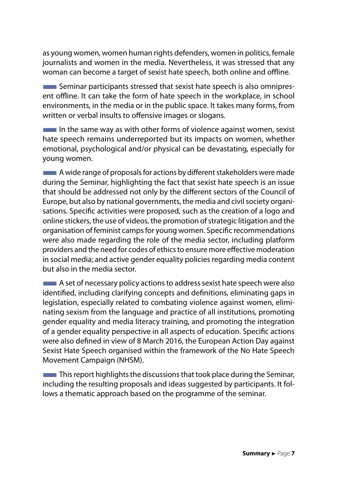as young women, women human rights defenders, women in politics, female journalists and women in the media. Nevertheless, it was stressed that any woman can become a target of sexist hate speech, both online and offline.

**EXECUTE:** Seminar participants stressed that sexist hate speech is also omnipresent offline. It can take the form of hate speech in the workplace, in school environments, in the media or in the public space. It takes many forms, from written or verbal insults to offensive images or slogans.

 $\blacksquare$  In the same way as with other forms of violence against women, sexist hate speech remains underreported but its impacts on women, whether emotional, psychological and/or physical can be devastating, especially for young women.

**EXECUTE:** A wide range of proposals for actions by different stakeholders were made during the Seminar, highlighting the fact that sexist hate speech is an issue that should be addressed not only by the different sectors of the Council of Europe, but also by national governments, the media and civil society organisations. Specific activities were proposed, such as the creation of a logo and online stickers, the use of videos, the promotion of strategic litigation and the organisation of feminist camps for young women. Specific recommendations were also made regarding the role of the media sector, including platform providers and the need for codes of ethics to ensure more effective moderation in social media; and active gender equality policies regarding media content but also in the media sector.

**EXECUTE:** A set of necessary policy actions to address sexist hate speech were also identified, including clarifying concepts and definitions, eliminating gaps in legislation, especially related to combating violence against women, eliminating sexism from the language and practice of all institutions, promoting gender equality and media literacy training, and promoting the integration of a gender equality perspective in all aspects of education. Specific actions were also defined in view of 8 March 2016, the European Action Day against Sexist Hate Speech organised within the framework of the No Hate Speech Movement Campaign (NHSM).

 $\blacksquare$  This report highlights the discussions that took place during the Seminar, including the resulting proposals and ideas suggested by participants. It follows a thematic approach based on the programme of the seminar.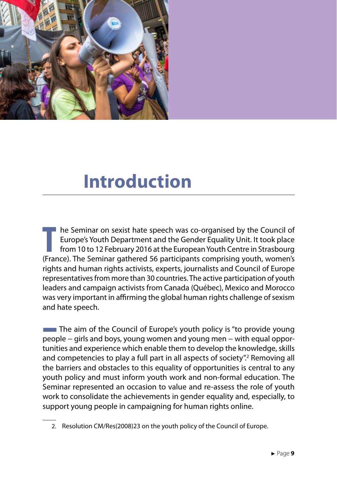<span id="page-10-0"></span>

### **Introduction**

**The Seminar on sexist hate speech was co-organised by the Council of Europe's Youth Department and the Gender Equality Unit. It took place from 10 to 12 February 2016 at the European Youth Centre in Strasbourg (France). T** he Seminar on sexist hate speech was co-organised by the Council of Europe's Youth Department and the Gender Equality Unit. It took place from 10 to 12 February 2016 at the European Youth Centre in Strasbourg rights and human rights activists, experts, journalists and Council of Europe representatives from more than 30 countries. The active participation of youth leaders and campaign activists from Canada (Québec), Mexico and Morocco was very important in affirming the global human rights challenge of sexism and hate speech.

**The aim of the Council of Europe's youth policy is "to provide young** people – girls and boys, young women and young men – with equal opportunities and experience which enable them to develop the knowledge, skills and competencies to play a full part in all aspects of society".<sup>2</sup> Removing all the barriers and obstacles to this equality of opportunities is central to any youth policy and must inform youth work and non-formal education. The Seminar represented an occasion to value and re-assess the role of youth work to consolidate the achievements in gender equality and, especially, to support young people in campaigning for human rights online.

<sup>2.</sup> Resolution CM/Res(2008)23 on the youth policy of the Council of Europe.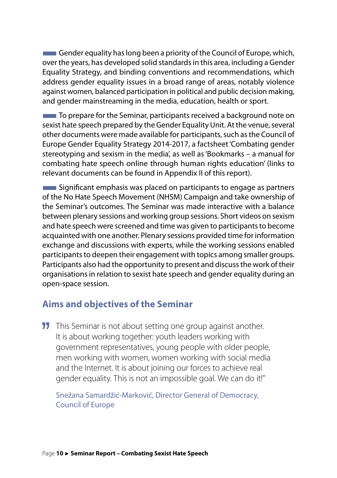<span id="page-11-0"></span> $\blacksquare$  Gender equality has long been a priority of the Council of Europe, which, over the years, has developed solid standards in this area, including a Gender Equality Strategy, and binding conventions and recommendations, which address gender equality issues in a broad range of areas, notably violence against women, balanced participation in political and public decision making, and gender mainstreaming in the media, education, health or sport.

**To prepare for the Seminar, participants received a background note on** sexist hate speech prepared by the Gender Equality Unit. At the venue, several other documents were made available for participants, such as the Council of Europe Gender Equality Strategy 2014-2017, a factsheet 'Combating gender stereotyping and sexism in the media', as well as 'Bookmarks – a manual for combating hate speech online through human rights education' (links to relevant documents can be found in Appendix II of this report).

**EXIGN** Significant emphasis was placed on participants to engage as partners of the No Hate Speech Movement (NHSM) Campaign and take ownership of the Seminar's outcomes. The Seminar was made interactive with a balance between plenary sessions and working group sessions. Short videos on sexism and hate speech were screened and time was given to participants to become acquainted with one another. Plenary sessions provided time for information exchange and discussions with experts, while the working sessions enabled participants to deepen their engagement with topics among smaller groups. Participants also had the opportunity to present and discuss the work of their organisations in relation to sexist hate speech and gender equality during an open-space session.

#### **Aims and objectives of the Seminar**

**11** This Seminar is not about setting one group against another. It is about working together: youth leaders working with government representatives, young people with older people, men working with women, women working with social media and the Internet. It is about joining our forces to achieve real gender equality. This is not an impossible goal. We can do it!"

Snežana Samardžić-Marković, Director General of Democracy, Council of Europe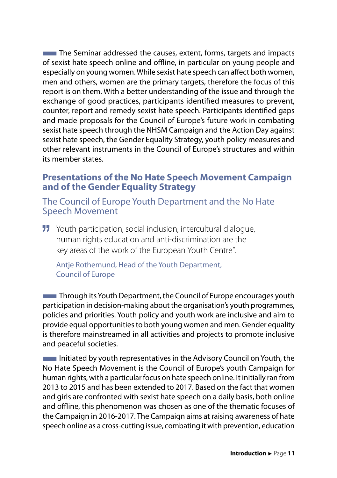<span id="page-12-0"></span>**The Seminar addressed the causes, extent, forms, targets and impacts** of sexist hate speech online and offline, in particular on young people and especially on young women. While sexist hate speech can affect both women, men and others, women are the primary targets, therefore the focus of this report is on them. With a better understanding of the issue and through the exchange of good practices, participants identified measures to prevent, counter, report and remedy sexist hate speech. Participants identified gaps and made proposals for the Council of Europe's future work in combating sexist hate speech through the NHSM Campaign and the Action Day against sexist hate speech, the Gender Equality Strategy, youth policy measures and other relevant instruments in the Council of Europe's structures and within its member states.

#### **Presentations of the No Hate Speech Movement Campaign and of the Gender Equality Strategy**

The Council of Europe Youth Department and the No Hate Speech Movement

**11** Youth participation, social inclusion, intercultural dialogue, human rights education and anti-discrimination are the key areas of the work of the European Youth Centre".

Antie Rothemund, Head of the Youth Department, Council of Europe

**Through its Youth Department, the Council of Europe encourages youth** participation in decision-making about the organisation's youth programmes, policies and priorities. Youth policy and youth work are inclusive and aim to provide equal opportunities to both young women and men. Gender equality is therefore mainstreamed in all activities and projects to promote inclusive and peaceful societies.

**EXECUTE:** Initiated by youth representatives in the Advisory Council on Youth, the No Hate Speech Movement is the Council of Europe's youth Campaign for human rights, with a particular focus on hate speech online. It initially ran from 2013 to 2015 and has been extended to 2017. Based on the fact that women and girls are confronted with sexist hate speech on a daily basis, both online and offline, this phenomenon was chosen as one of the thematic focuses of the Campaign in 2016-2017. The Campaign aims at raising awareness of hate speech online as a cross-cutting issue, combating it with prevention, education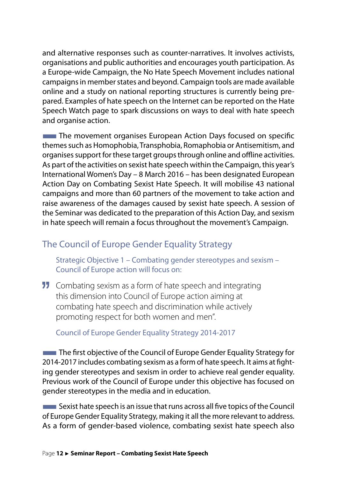and alternative responses such as counter-narratives. It involves activists, organisations and public authorities and encourages youth participation. As a Europe-wide Campaign, the No Hate Speech Movement includes national campaigns in member states and beyond. Campaign tools are made available online and a study on national reporting structures is currently being prepared. Examples of hate speech on the Internet can be reported on the Hate Speech Watch page to spark discussions on ways to deal with hate speech and organise action.

**The movement organises European Action Days focused on specific** themes such as Homophobia, Transphobia, Romaphobia or Antisemitism, and organises support for these target groups through online and offline activities. As part of the activities on sexist hate speech within the Campaign, this year's International Women's Day – 8 March 2016 – has been designated European Action Day on Combating Sexist Hate Speech. It will mobilise 43 national campaigns and more than 60 partners of the movement to take action and raise awareness of the damages caused by sexist hate speech. A session of the Seminar was dedicated to the preparation of this Action Day, and sexism in hate speech will remain a focus throughout the movement's Campaign.

#### The Council of Europe Gender Equality Strategy

Strategic Objective 1 – Combating gender stereotypes and sexism – Council of Europe action will focus on:

**11** Combating sexism as a form of hate speech and integrating this dimension into Council of Europe action aiming at combating hate speech and discrimination while actively promoting respect for both women and men".

Council of Europe Gender Equality Strategy 2014-2017

**The first objective of the Council of Europe Gender Equality Strategy for** 2014-2017 includes combating sexism as a form of hate speech. It aims at fighting gender stereotypes and sexism in order to achieve real gender equality. Previous work of the Council of Europe under this objective has focused on gender stereotypes in the media and in education.

**EXALCERCITED Sexist hate speech is an issue that runs across all five topics of the Council** of Europe Gender Equality Strategy, making it all the more relevant to address. As a form of gender-based violence, combating sexist hate speech also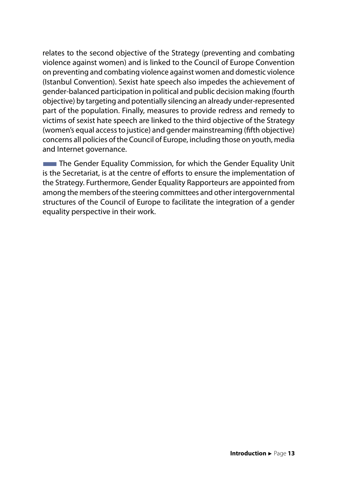relates to the second objective of the Strategy (preventing and combating violence against women) and is linked to the Council of Europe Convention on preventing and combating violence against women and domestic violence (Istanbul Convention). Sexist hate speech also impedes the achievement of gender-balanced participation in political and public decision making (fourth objective) by targeting and potentially silencing an already under-represented part of the population. Finally, measures to provide redress and remedy to victims of sexist hate speech are linked to the third objective of the Strategy (women's equal access to justice) and gender mainstreaming (fifth objective) concerns all policies of the Council of Europe, including those on youth, media and Internet governance.

**The Gender Equality Commission, for which the Gender Equality Unit** is the Secretariat, is at the centre of efforts to ensure the implementation of the Strategy. Furthermore, Gender Equality Rapporteurs are appointed from among the members of the steering committees and other intergovernmental structures of the Council of Europe to facilitate the integration of a gender equality perspective in their work.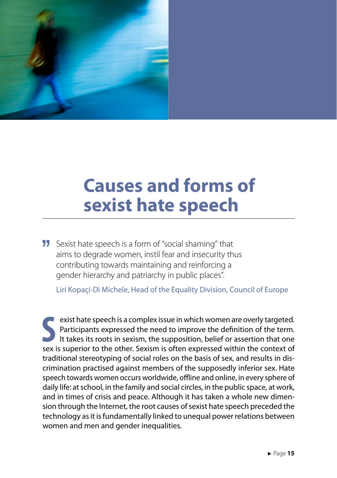<span id="page-16-0"></span>

### **Causes and forms of sexist hate speech**

**11** Sexist hate speech is a form of "social shaming" that aims to degrade women, instil fear and insecurity thus contributing towards maintaining and reinforcing a gender hierarchy and patriarchy in public places".

Liri Kopaçi-Di Michele, Head of the Equality Division, Council of Europe

**S**sex is superior to the sexet of the need to improve the definition of the term.<br>
It takes its roots in sexism, the supposition, belief or assertion that one<br>
sex is superior to the other. Sexism is often expressed with exist hate speech is a complex issue in which women are overly targeted. Participants expressed the need to improve the definition of the term. It takes its roots in sexism, the supposition, belief or assertion that one traditional stereotyping of social roles on the basis of sex, and results in discrimination practised against members of the supposedly inferior sex. Hate speech towards women occurs worldwide, offline and online, in every sphere of daily life: at school, in the family and social circles, in the public space, at work, and in times of crisis and peace. Although it has taken a whole new dimension through the Internet, the root causes of sexist hate speech preceded the technology as it is fundamentally linked to unequal power relations between women and men and gender inequalities.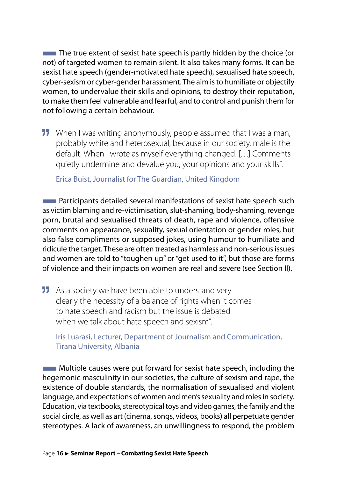The true extent of sexist hate speech is partly hidden by the choice (or not) of targeted women to remain silent. It also takes many forms. It can be sexist hate speech (gender-motivated hate speech), sexualised hate speech, cyber-sexism or cyber-gender harassment. The aim is to humiliate or objectify women, to undervalue their skills and opinions, to destroy their reputation, to make them feel vulnerable and fearful, and to control and punish them for not following a certain behaviour.

**11** When I was writing anonymously, people assumed that I was a man, probably white and heterosexual, because in our society, male is the default. When I wrote as myself everything changed. […] Comments quietly undermine and devalue you, your opinions and your skills".

Erica Buist, Journalist for The Guardian, United Kingdom

**EXTERNATION Participants detailed several manifestations of sexist hate speech such** as victim blaming and re-victimisation, slut-shaming, body-shaming, revenge porn, brutal and sexualised threats of death, rape and violence, offensive comments on appearance, sexuality, sexual orientation or gender roles, but also false compliments or supposed jokes, using humour to humiliate and ridicule the target. These are often treated as harmless and non-serious issues and women are told to "toughen up" or "get used to it", but those are forms of violence and their impacts on women are real and severe (see Section II).

**11** As a society we have been able to understand very clearly the necessity of a balance of rights when it comes to hate speech and racism but the issue is debated when we talk about hate speech and sexism".

Iris Luarasi, Lecturer, Department of Journalism and Communication, Tirana University, Albania

**EXTEM** Multiple causes were put forward for sexist hate speech, including the hegemonic masculinity in our societies, the culture of sexism and rape, the existence of double standards, the normalisation of sexualised and violent language, and expectations of women and men's sexuality and roles in society. Education, via textbooks, stereotypical toys and video games, the family and the social circle, as well as art (cinema, songs, videos, books) all perpetuate gender stereotypes. A lack of awareness, an unwillingness to respond, the problem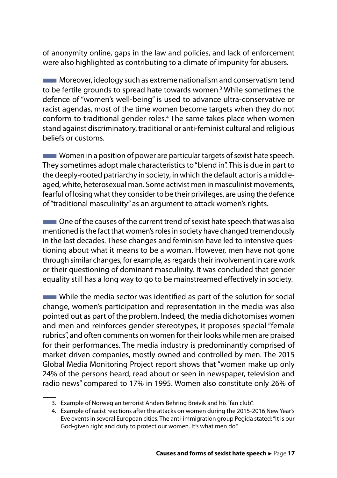of anonymity online, gaps in the law and policies, and lack of enforcement were also highlighted as contributing to a climate of impunity for abusers.

**EXECUTE:** Moreover, ideology such as extreme nationalism and conservatism tend to be fertile grounds to spread hate towards women.<sup>3</sup> While sometimes the defence of "women's well-being" is used to advance ultra-conservative or racist agendas, most of the time women become targets when they do not conform to traditional gender roles.<sup>4</sup> The same takes place when women stand against discriminatory, traditional or anti-feminist cultural and religious beliefs or customs.

**THE Women in a position of power are particular targets of sexist hate speech.** They sometimes adopt male characteristics to "blend in". This is due in part to the deeply-rooted patriarchy in society, in which the default actor is a middleaged, white, heterosexual man. Some activist men in masculinist movements, fearful of losing what they consider to be their privileges, are using the defence of "traditional masculinity" as an argument to attack women's rights.

**THE One of the causes of the current trend of sexist hate speech that was also** mentioned is the fact that women's roles in society have changed tremendously in the last decades. These changes and feminism have led to intensive questioning about what it means to be a woman. However, men have not gone through similar changes, for example, as regards their involvement in care work or their questioning of dominant masculinity. It was concluded that gender equality still has a long way to go to be mainstreamed effectively in society.

While the media sector was identified as part of the solution for social change, women's participation and representation in the media was also pointed out as part of the problem. Indeed, the media dichotomises women and men and reinforces gender stereotypes, it proposes special "female rubrics", and often comments on women for their looks while men are praised for their performances. The media industry is predominantly comprised of market-driven companies, mostly owned and controlled by men. The 2015 Global Media Monitoring Project report shows that "women make up only 24% of the persons heard, read about or seen in newspaper, television and radio news" compared to 17% in 1995. Women also constitute only 26% of

<sup>3.</sup> Example of Norwegian terrorist Anders Behring Breivik and his "fan club".

<sup>4.</sup> Example of racist reactions after the attacks on women during the 2015-2016 New Year's Eve events in several European cities. The anti-immigration group Pegida stated: "It is our God-given right and duty to protect our women. It's what men do."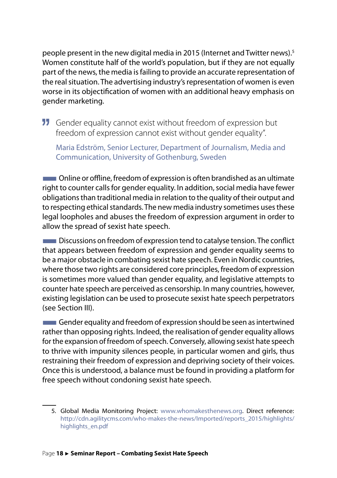people present in the new digital media in 2015 (Internet and Twitter news).<sup>5</sup> Women constitute half of the world's population, but if they are not equally part of the news, the media is failing to provide an accurate representation of the real situation. The advertising industry's representation of women is even worse in its objectification of women with an additional heavy emphasis on gender marketing.

**11** Gender equality cannot exist without freedom of expression but freedom of expression cannot exist without gender equality".

Maria Edström, Senior Lecturer, Department of Journalism, Media and Communication, University of Gothenburg, Sweden

**THE Online or offline, freedom of expression is often brandished as an ultimate** right to counter calls for gender equality. In addition, social media have fewer obligations than traditional media in relation to the quality of their output and to respecting ethical standards. The new media industry sometimes uses these legal loopholes and abuses the freedom of expression argument in order to allow the spread of sexist hate speech.

**EXPLO EXPLOSEDED** Discussions on freedom of expression tend to catalyse tension. The conflict that appears between freedom of expression and gender equality seems to be a major obstacle in combating sexist hate speech. Even in Nordic countries, where those two rights are considered core principles, freedom of expression is sometimes more valued than gender equality, and legislative attempts to counter hate speech are perceived as censorship. In many countries, however, existing legislation can be used to prosecute sexist hate speech perpetrators (see Section III).

**EXPLEMENTEE CONSTRANT GENOM CONSTRANT GENOM** General structured seem as intertwined rather than opposing rights. Indeed, the realisation of gender equality allows for the expansion of freedom of speech. Conversely, allowing sexist hate speech to thrive with impunity silences people, in particular women and girls, thus restraining their freedom of expression and depriving society of their voices. Once this is understood, a balance must be found in providing a platform for free speech without condoning sexist hate speech.

<sup>5.</sup> Global Media Monitoring Project: www.whomakesthenews.org. Direct reference: http://cdn.agilitycms.com/who-makes-the-news/Imported/reports\_2015/highlights/ highlights\_en.pdf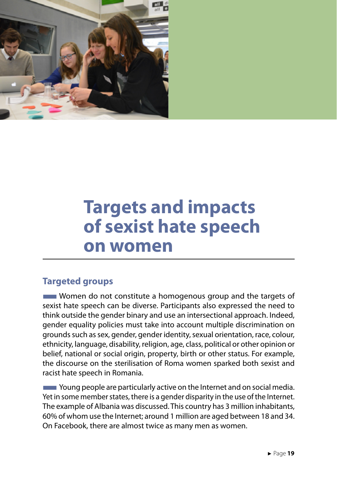<span id="page-20-0"></span>

### **Targets and impacts of sexist hate speech on women**

#### **Targeted groups**

■Women do not constitute a homogenous group and the targets of sexist hate speech can be diverse. Participants also expressed the need to think outside the gender binary and use an intersectional approach. Indeed, gender equality policies must take into account multiple discrimination on grounds such as sex, gender, gender identity, sexual orientation, race, colour, ethnicity, language, disability, religion, age, class, political or other opinion or belief, national or social origin, property, birth or other status. For example, the discourse on the sterilisation of Roma women sparked both sexist and racist hate speech in Romania.

**EXTERNATION PROPED AT A THE PART IS A THE PROPED THE PROPED THE PROPED THE PROPED THE PROPED THE PROPED THE PRO** Yet in some member states, there is a gender disparity in the use of the Internet. The example of Albania was discussed. This country has 3 million inhabitants, 60% of whom use the Internet; around 1 million are aged between 18 and 34. On Facebook, there are almost twice as many men as women.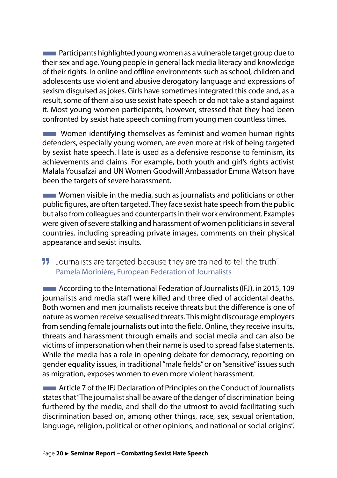**EXTEDENTIFY Participants highlighted young women as a vulnerable target group due to** their sex and age. Young people in general lack media literacy and knowledge of their rights. In online and offline environments such as school, children and adolescents use violent and abusive derogatory language and expressions of sexism disguised as jokes. Girls have sometimes integrated this code and, as a result, some of them also use sexist hate speech or do not take a stand against it. Most young women participants, however, stressed that they had been confronted by sexist hate speech coming from young men countless times.

**Women identifying themselves as feminist and women human rights** defenders, especially young women, are even more at risk of being targeted by sexist hate speech. Hate is used as a defensive response to feminism, its achievements and claims. For example, both youth and girl's rights activist Malala Yousafzai and UN Women Goodwill Ambassador Emma Watson have been the targets of severe harassment.

**EXTERNALIST Women visible in the media, such as journalists and politicians or other** public figures, are often targeted. They face sexist hate speech from the public but also from colleagues and counterparts in their work environment. Examples were given of severe stalking and harassment of women politicians in several countries, including spreading private images, comments on their physical appearance and sexist insults.

#### JJ Journalists are targeted because they are trained to tell the truth". Pamela Morinière, European Federation of Journalists

**EXECORDITY According to the International Federation of Journalists (IFJ), in 2015, 109** journalists and media staff were killed and three died of accidental deaths. Both women and men journalists receive threats but the difference is one of nature as women receive sexualised threats. This might discourage employers from sending female journalists out into the field. Online, they receive insults, threats and harassment through emails and social media and can also be victims of impersonation when their name is used to spread false statements. While the media has a role in opening debate for democracy, reporting on gender equality issues, in traditional "male fields" or on "sensitive" issues such as migration, exposes women to even more violent harassment.

■Article 7 of the IFJ Declaration of Principles on the Conduct of Journalists states that "The journalist shall be aware of the danger of discrimination being furthered by the media, and shall do the utmost to avoid facilitating such discrimination based on, among other things, race, sex, sexual orientation, language, religion, political or other opinions, and national or social origins".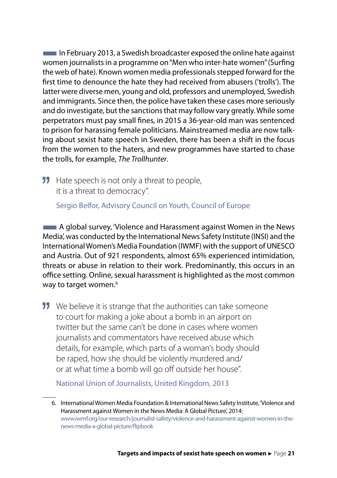$\blacksquare$  In February 2013, a Swedish broadcaster exposed the online hate against women journalists in a programme on "Men who inter-hate women" (Surfing the web of hate). Known women media professionals stepped forward for the first time to denounce the hate they had received from abusers ('trolls'). The latter were diverse men, young and old, professors and unemployed, Swedish and immigrants. Since then, the police have taken these cases more seriously and do investigate, but the sanctions that may follow vary greatly. While some perpetrators must pay small fines, in 2015 a 36-year-old man was sentenced to prison for harassing female politicians. Mainstreamed media are now talking about sexist hate speech in Sweden, there has been a shift in the focus from the women to the haters, and new programmes have started to chase the trolls, for example, *The Trollhunter*.

**11** Hate speech is not only a threat to people, it is a threat to democracy".

Sergio Belfor, Advisory Council on Youth, Council of Europe

■A global survey, 'Violence and Harassment against Women in the News Media', was conducted by the International News Safety Institute (INSI) and the International Women's Media Foundation (IWMF) with the support of UNESCO and Austria. Out of 921 respondents, almost 65% experienced intimidation, threats or abuse in relation to their work. Predominantly, this occurs in an office setting. Online, sexual harassment is highlighted as the most common way to target women.<sup>6</sup>

**11** We believe it is strange that the authorities can take someone to court for making a joke about a bomb in an airport on twitter but the same can't be done in cases where women journalists and commentators have received abuse which details, for example, which parts of a woman's body should be raped, how she should be violently murdered and/ or at what time a bomb will go off outside her house".

National Union of Journalists, United Kingdom, 2013

<sup>6.</sup> International Women Media Foundation & International News Safety Institute, 'Violence and Harassment against Women in the News Media: A Global Picture', 2014: www.iwmf.org/our-research/journalist-safety/violence-and-harassment-against-women-in-thenews-media-a-global-picture/flipbook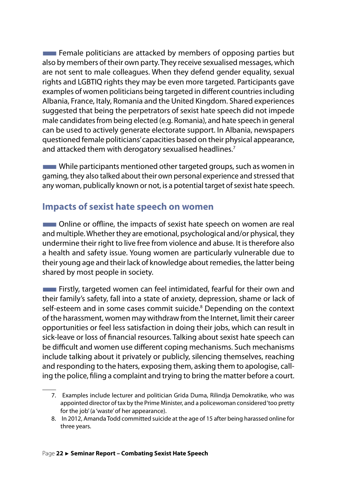<span id="page-23-0"></span> $\blacksquare$  Female politicians are attacked by members of opposing parties but also by members of their own party. They receive sexualised messages, which are not sent to male colleagues. When they defend gender equality, sexual rights and LGBTIQ rights they may be even more targeted. Participants gave examples of women politicians being targeted in different countries including Albania, France, Italy, Romania and the United Kingdom. Shared experiences suggested that being the perpetrators of sexist hate speech did not impede male candidates from being elected (e.g. Romania), and hate speech in general can be used to actively generate electorate support. In Albania, newspapers questioned female politicians' capacities based on their physical appearance, and attacked them with derogatory sexualised headlines.<sup>7</sup>

**While participants mentioned other targeted groups, such as women in** gaming, they also talked about their own personal experience and stressed that any woman, publically known or not, is a potential target of sexist hate speech.

#### **Impacts of sexist hate speech on women**

**THE Online or offline, the impacts of sexist hate speech on women are real** and multiple. Whether they are emotional, psychological and/or physical, they undermine their right to live free from violence and abuse. It is therefore also a health and safety issue. Young women are particularly vulnerable due to their young age and their lack of knowledge about remedies, the latter being shared by most people in society.

■Firstly, targeted women can feel intimidated, fearful for their own and their family's safety, fall into a state of anxiety, depression, shame or lack of self-esteem and in some cases commit suicide.<sup>8</sup> Depending on the context of the harassment, women may withdraw from the Internet, limit their career opportunities or feel less satisfaction in doing their jobs, which can result in sick-leave or loss of financial resources. Talking about sexist hate speech can be difficult and women use different coping mechanisms. Such mechanisms include talking about it privately or publicly, silencing themselves, reaching and responding to the haters, exposing them, asking them to apologise, calling the police, filing a complaint and trying to bring the matter before a court.

<sup>7.</sup> Examples include lecturer and politician Grida Duma, Rilindja Demokratike, who was appointed director of tax by the Prime Minister, and a policewoman considered 'too pretty for the job' (a 'waste' of her appearance).

<sup>8.</sup> In 2012, Amanda Todd committed suicide at the age of 15 after being harassed online for three years.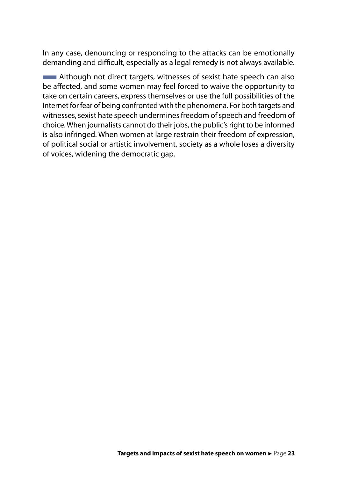In any case, denouncing or responding to the attacks can be emotionally demanding and difficult, especially as a legal remedy is not always available.

**EXTERNAL Although not direct targets, witnesses of sexist hate speech can also** be affected, and some women may feel forced to waive the opportunity to take on certain careers, express themselves or use the full possibilities of the Internet for fear of being confronted with the phenomena. For both targets and witnesses, sexist hate speech undermines freedom of speech and freedom of choice. When journalists cannot do their jobs, the public's right to be informed is also infringed. When women at large restrain their freedom of expression, of political social or artistic involvement, society as a whole loses a diversity of voices, widening the democratic gap.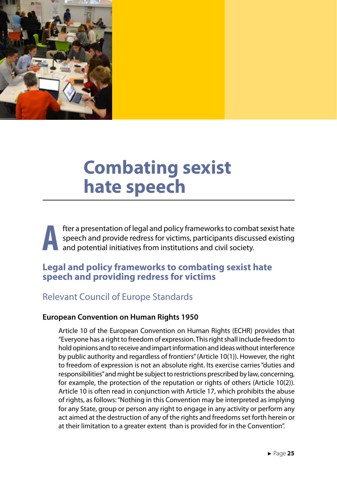<span id="page-26-0"></span>

### **Combating sexist hate speech**

**After a presentation of legal and policy frameworks to combat sexist hate**<br>speech and provide redress for victims, participants discussed existing<br>and potential initiatives from institutions and civil society. speech and provide redress for victims, participants discussed existing and potential initiatives from institutions and civil society.

#### **Legal and policy frameworks to combating sexist hate speech and providing redress for victims**

#### Relevant Council of Europe Standards

#### **European Convention on Human Rights 1950**

Article 10 of the European Convention on Human Rights (ECHR) provides that "Everyone has a right to freedom of expression. This right shall include freedom to hold opinions and to receive and impart information and ideas without interference by public authority and regardless of frontiers" (Article 10(1)). However, the right to freedom of expression is not an absolute right. Its exercise carries "duties and responsibilities" and might be subject to restrictions prescribed by law, concerning, for example, the protection of the reputation or rights of others (Article 10(2)). Article 10 is often read in conjunction with Article 17, which prohibits the abuse of rights, as follows: "Nothing in this Convention may be interpreted as implying for any State, group or person any right to engage in any activity or perform any act aimed at the destruction of any of the rights and freedoms set forth herein or at their limitation to a greater extent than is provided for in the Convention".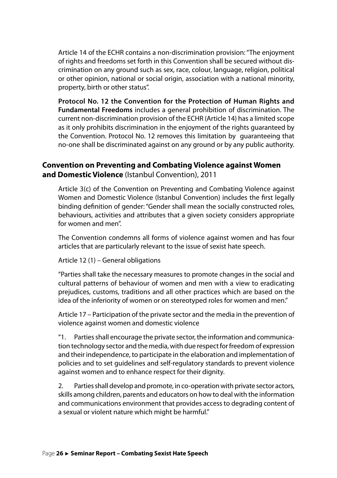Article 14 of the ECHR contains a non-discrimination provision: "The enjoyment of rights and freedoms set forth in this Convention shall be secured without discrimination on any ground such as sex, race, colour, language, religion, political or other opinion, national or social origin, association with a national minority, property, birth or other status".

**Protocol No. 12 the Convention for the Protection of Human Rights and Fundamental Freedoms** includes a general prohibition of discrimination. The current non-discrimination provision of the ECHR (Article 14) has a limited scope as it only prohibits discrimination in the enjoyment of the rights guaranteed by the Convention. Protocol No. 12 removes this limitation by guaranteeing that no-one shall be discriminated against on any ground or by any public authority.

#### **Convention on Preventing and Combating Violence against Women and Domestic Violence** (Istanbul Convention), 2011

Article 3(c) of the Convention on Preventing and Combating Violence against Women and Domestic Violence (Istanbul Convention) includes the first legally binding definition of gender: "Gender shall mean the socially constructed roles, behaviours, activities and attributes that a given society considers appropriate for women and men".

The Convention condemns all forms of violence against women and has four articles that are particularly relevant to the issue of sexist hate speech.

Article 12 (1) – General obligations

"Parties shall take the necessary measures to promote changes in the social and cultural patterns of behaviour of women and men with a view to eradicating prejudices, customs, traditions and all other practices which are based on the idea of the inferiority of women or on stereotyped roles for women and men."

Article 17 – Participation of the private sector and the media in the prevention of violence against women and domestic violence

"1. Parties shall encourage the private sector, the information and communication technology sector and the media, with due respect for freedom of expression and their independence, to participate in the elaboration and implementation of policies and to set guidelines and self-regulatory standards to prevent violence against women and to enhance respect for their dignity.

2. Parties shall develop and promote, in co-operation with private sector actors, skills among children, parents and educators on how to deal with the information and communications environment that provides access to degrading content of a sexual or violent nature which might be harmful."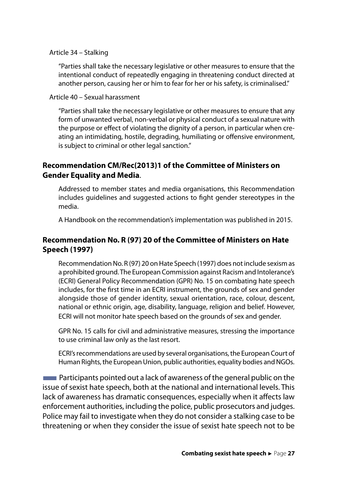Article 34 – Stalking

"Parties shall take the necessary legislative or other measures to ensure that the intentional conduct of repeatedly engaging in threatening conduct directed at another person, causing her or him to fear for her or his safety, is criminalised."

Article 40 – Sexual harassment

"Parties shall take the necessary legislative or other measures to ensure that any form of unwanted verbal, non-verbal or physical conduct of a sexual nature with the purpose or effect of violating the dignity of a person, in particular when creating an intimidating, hostile, degrading, humiliating or offensive environment, is subject to criminal or other legal sanction."

#### **Recommendation CM/Rec(2013)1 of the Committee of Ministers on Gender Equality and Media**.

Addressed to member states and media organisations, this Recommendation includes guidelines and suggested actions to fight gender stereotypes in the media.

A Handbook on the recommendation's implementation was published in 2015.

#### **Recommendation No. R (97) 20 of the Committee of Ministers on Hate Speech (1997)**

Recommendation No. R (97) 20 on Hate Speech (1997) does not include sexism as a prohibited ground. The European Commission against Racism and Intolerance's (ECRI) General Policy Recommendation (GPR) No. 15 on combating hate speech includes, for the first time in an ECRI instrument, the grounds of sex and gender alongside those of gender identity, sexual orientation, race, colour, descent, national or ethnic origin, age, disability, language, religion and belief. However, ECRI will not monitor hate speech based on the grounds of sex and gender.

GPR No. 15 calls for civil and administrative measures, stressing the importance to use criminal law only as the last resort.

ECRI's recommendations are used by several organisations, the European Court of Human Rights, the European Union, public authorities, equality bodies and NGOs.

**EXTERNAL Participants pointed out a lack of awareness of the general public on the** issue of sexist hate speech, both at the national and international levels. This lack of awareness has dramatic consequences, especially when it affects law enforcement authorities, including the police, public prosecutors and judges. Police may fail to investigate when they do not consider a stalking case to be threatening or when they consider the issue of sexist hate speech not to be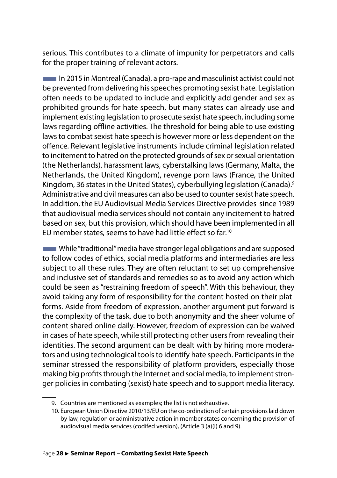serious. This contributes to a climate of impunity for perpetrators and calls for the proper training of relevant actors.

■In 2015 in Montreal (Canada), a pro-rape and masculinist activist could not be prevented from delivering his speeches promoting sexist hate. Legislation often needs to be updated to include and explicitly add gender and sex as prohibited grounds for hate speech, but many states can already use and implement existing legislation to prosecute sexist hate speech, including some laws regarding offline activities. The threshold for being able to use existing laws to combat sexist hate speech is however more or less dependent on the offence. Relevant legislative instruments include criminal legislation related to incitement to hatred on the protected grounds of sex or sexual orientation (the Netherlands), harassment laws, cyberstalking laws (Germany, Malta, the Netherlands, the United Kingdom), revenge porn laws (France, the United Kingdom, 36 states in the United States), cyberbullying legislation (Canada).<sup>9</sup> Administrative and civil measures can also be used to counter sexist hate speech. In addition, the EU Audiovisual Media Services Directive provides since 1989 that audiovisual media services should not contain any incitement to hatred based on sex, but this provision, which should have been implemented in all EU member states, seems to have had little effect so far.<sup>10</sup>

■While "traditional" media have stronger legal obligations and are supposed to follow codes of ethics, social media platforms and intermediaries are less subject to all these rules. They are often reluctant to set up comprehensive and inclusive set of standards and remedies so as to avoid any action which could be seen as "restraining freedom of speech". With this behaviour, they avoid taking any form of responsibility for the content hosted on their platforms. Aside from freedom of expression, another argument put forward is the complexity of the task, due to both anonymity and the sheer volume of content shared online daily. However, freedom of expression can be waived in cases of hate speech, while still protecting other users from revealing their identities. The second argument can be dealt with by hiring more moderators and using technological tools to identify hate speech. Participants in the seminar stressed the responsibility of platform providers, especially those making big profits through the Internet and social media, to implement stronger policies in combating (sexist) hate speech and to support media literacy.

<sup>9.</sup> Countries are mentioned as examples; the list is not exhaustive.

<sup>10.</sup> European Union Directive 2010/13/EU on the co-ordination of certain provisions laid down by law, regulation or administrative action in member states concerning the provision of audiovisual media services (codifed version), (Article 3 (a)(i) 6 and 9).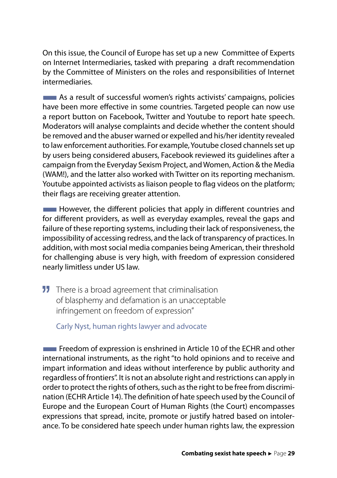On this issue, the Council of Europe has set up a new Committee of Experts on Internet Intermediaries, tasked with preparing a draft recommendation by the Committee of Ministers on the roles and responsibilities of Internet intermediaries.

**EXECUTE:** As a result of successful women's rights activists' campaigns, policies have been more effective in some countries. Targeted people can now use a report button on Facebook, Twitter and Youtube to report hate speech. Moderators will analyse complaints and decide whether the content should be removed and the abuser warned or expelled and his/her identity revealed to law enforcement authorities. For example, Youtube closed channels set up by users being considered abusers, Facebook reviewed its guidelines after a campaign from the Everyday Sexism Project, and Women, Action & the Media (WAM!), and the latter also worked with Twitter on its reporting mechanism. Youtube appointed activists as liaison people to flag videos on the platform; their flags are receiving greater attention.

**EXECUTE:** However, the different policies that apply in different countries and for different providers, as well as everyday examples, reveal the gaps and failure of these reporting systems, including their lack of responsiveness, the impossibility of accessing redress, and the lack of transparency of practices. In addition, with most social media companies being American, their threshold for challenging abuse is very high, with freedom of expression considered nearly limitless under US law.

**11** There is a broad agreement that criminalisation of blasphemy and defamation is an unacceptable infringement on freedom of expression"

Carly Nyst, human rights lawyer and advocate

**EXPLEMENTEE IS A Freedom of expression is enshrined in Article 10 of the ECHR and other** international instruments, as the right "to hold opinions and to receive and impart information and ideas without interference by public authority and regardless of frontiers". It is not an absolute right and restrictions can apply in order to protect the rights of others, such as the right to be free from discrimination (ECHR Article 14). The definition of hate speech used by the Council of Europe and the European Court of Human Rights (the Court) encompasses expressions that spread, incite, promote or justify hatred based on intolerance. To be considered hate speech under human rights law, the expression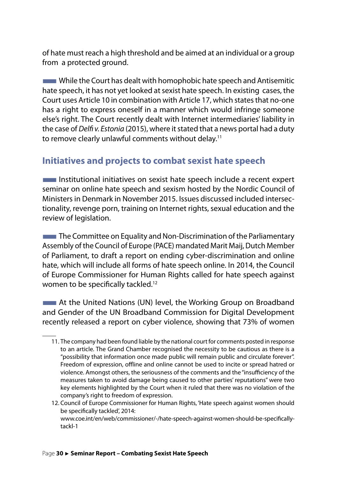<span id="page-31-0"></span>of hate must reach a high threshold and be aimed at an individual or a group from a protected ground.

**While the Court has dealt with homophobic hate speech and Antisemitic** hate speech, it has not yet looked at sexist hate speech. In existing cases, the Court uses Article 10 in combination with Article 17, which states that no-one has a right to express oneself in a manner which would infringe someone else's right. The Court recently dealt with Internet intermediaries' liability in the case of *Delfi v. Estonia* (2015), where it stated that a news portal had a duty to remove clearly unlawful comments without delay.<sup>11</sup>

#### **Initiatives and projects to combat sexist hate speech**

**EXECUTE:** Institutional initiatives on sexist hate speech include a recent expert seminar on online hate speech and sexism hosted by the Nordic Council of Ministers in Denmark in November 2015. Issues discussed included intersectionality, revenge porn, training on Internet rights, sexual education and the review of legislation.

**The Committee on Equality and Non-Discrimination of the Parliamentary** Assembly of the Council of Europe (PACE) mandated Marit Maij, Dutch Member of Parliament, to draft a report on ending cyber-discrimination and online hate, which will include all forms of hate speech online. In 2014, the Council of Europe Commissioner for Human Rights called for hate speech against women to be specifically tackled.<sup>12</sup>

**EXTEM** At the United Nations (UN) level, the Working Group on Broadband and Gender of the UN Broadband Commission for Digital Development recently released a report on cyber violence, showing that 73% of women

<sup>11.</sup> The company had been found liable by the national court for comments posted in response to an article. The Grand Chamber recognised the necessity to be cautious as there is a "possibility that information once made public will remain public and circulate forever". Freedom of expression, offline and online cannot be used to incite or spread hatred or violence. Amongst others, the seriousness of the comments and the "insufficiency of the measures taken to avoid damage being caused to other parties' reputations" were two key elements highlighted by the Court when it ruled that there was no violation of the company's right to freedom of expression.

<sup>12.</sup> Council of Europe Commissioner for Human Rights, 'Hate speech against women should be specifically tackled', 2014: www.coe.int/en/web/commissioner/-/hate-speech-against-women-should-be-specificallytackl-1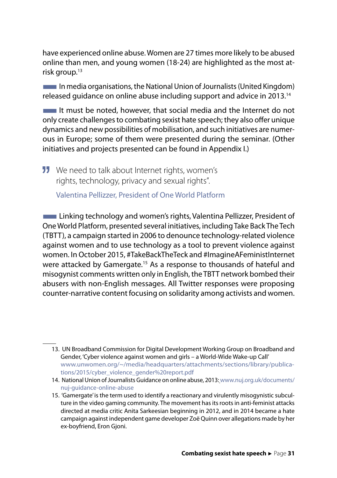have experienced online abuse. Women are 27 times more likely to be abused online than men, and young women (18-24) are highlighted as the most atrisk group.<sup>13</sup>

■In media organisations, the National Union of Journalists (United Kingdom) released guidance on online abuse including support and advice in 2013.14

 $\blacksquare$  It must be noted, however, that social media and the Internet do not only create challenges to combating sexist hate speech; they also offer unique dynamics and new possibilities of mobilisation, and such initiatives are numerous in Europe; some of them were presented during the seminar. (Other initiatives and projects presented can be found in Appendix I.)

**11** We need to talk about Internet rights, women's rights, technology, privacy and sexual rights".

Valentina Pellizzer, President of One World Platform

**EXECUTE:** Linking technology and women's rights, Valentina Pellizzer, President of One World Platform, presented several initiatives, including Take Back The Tech (TBTT), a campaign started in 2006 to denounce technology-related violence against women and to use technology as a tool to prevent violence against women. In October 2015, #TakeBackTheTeck and #ImagineAFeministInternet were attacked by Gamergate.<sup>15</sup> As a response to thousands of hateful and misogynist comments written only in English, the TBTT network bombed their abusers with non-English messages. All Twitter responses were proposing counter-narrative content focusing on solidarity among activists and women.

<sup>13.</sup> UN Broadband Commission for Digital Development Working Group on Broadband and Gender, 'Cyber violence against women and girls – a World-Wide Wake-up Call' www.unwomen.org/~/media/headquarters/attachments/sections/library/publications/2015/cyber\_violence\_gender%20report.pdf

<sup>14.</sup> National Union of Journalists Guidance on online abuse, 2013: www.nuj.org.uk/documents/ nuj-guidance-online-abuse

<sup>15. &#</sup>x27;Gamergate' is the term used to identify a reactionary and virulently misogynistic subculture in the video gaming community. The movement has its roots in anti-feminist attacks directed at media critic Anita Sarkeesian beginning in 2012, and in 2014 became a hate campaign against independent game developer Zoë Quinn over allegations made by her ex-boyfriend, Eron Gjoni.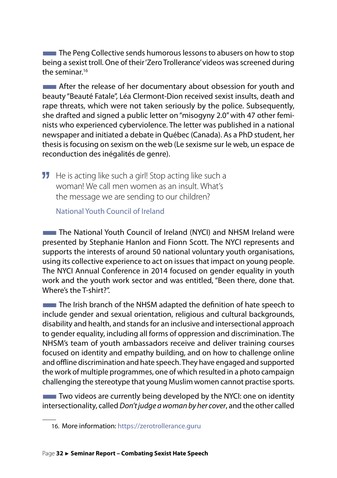**The Peng Collective sends humorous lessons to abusers on how to stop** being a sexist troll. One of their 'Zero Trollerance' videos was screened during the seminar  $16$ 

**EXTERNATION After the release of her documentary about obsession for youth and** beauty "Beauté Fatale", Léa Clermont-Dion received sexist insults, death and rape threats, which were not taken seriously by the police. Subsequently, she drafted and signed a public letter on "misogyny 2.0" with 47 other feminists who experienced cyberviolence. The letter was published in a national newspaper and initiated a debate in Québec (Canada). As a PhD student, her thesis is focusing on sexism on the web (Le sexisme sur le web, un espace de reconduction des inégalités de genre).

**11** He is acting like such a girl! Stop acting like such a woman! We call men women as an insult. What's the message we are sending to our children?

National Youth Council of Ireland

**The National Youth Council of Ireland (NYCI) and NHSM Ireland were** presented by Stephanie Hanlon and Fionn Scott. The NYCI represents and supports the interests of around 50 national voluntary youth organisations, using its collective experience to act on issues that impact on young people. The NYCI Annual Conference in 2014 focused on gender equality in youth work and the youth work sector and was entitled, "Been there, done that. Where's the T-shirt?".

**The Irish branch of the NHSM adapted the definition of hate speech to** include gender and sexual orientation, religious and cultural backgrounds, disability and health, and stands for an inclusive and intersectional approach to gender equality, including all forms of oppression and discrimination. The NHSM's team of youth ambassadors receive and deliver training courses focused on identity and empathy building, and on how to challenge online and offline discrimination and hate speech. They have engaged and supported the work of multiple programmes, one of which resulted in a photo campaign challenging the stereotype that young Muslim women cannot practise sports.

 $\blacksquare$  Two videos are currently being developed by the NYCI: one on identity intersectionality, called *Don't judge a woman by her cover*, and the other called

<sup>16.</sup> More information: https://zerotrollerance.guru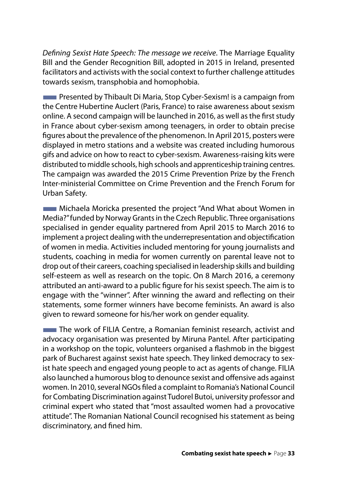*Defining Sexist Hate Speech: The message we receive*. The Marriage Equality Bill and the Gender Recognition Bill, adopted in 2015 in Ireland, presented facilitators and activists with the social context to further challenge attitudes towards sexism, transphobia and homophobia.

**The Presented by Thibault Di Maria, Stop Cyber-Sexism! is a campaign from** the Centre Hubertine Auclert (Paris, France) to raise awareness about sexism online. A second campaign will be launched in 2016, as well as the first study in France about cyber-sexism among teenagers, in order to obtain precise figures about the prevalence of the phenomenon. In April 2015, posters were displayed in metro stations and a website was created including humorous gifs and advice on how to react to cyber-sexism. Awareness-raising kits were distributed to middle schools, high schools and apprenticeship training centres. The campaign was awarded the 2015 Crime Prevention Prize by the French Inter-ministerial Committee on Crime Prevention and the French Forum for Urban Safety.

■Michaela Moricka presented the project "And What about Women in Media?" funded by Norway Grants in the Czech Republic. Three organisations specialised in gender equality partnered from April 2015 to March 2016 to implement a project dealing with the underrepresentation and objectification of women in media. Activities included mentoring for young journalists and students, coaching in media for women currently on parental leave not to drop out of their careers, coaching specialised in leadership skills and building self-esteem as well as research on the topic. On 8 March 2016, a ceremony attributed an anti-award to a public figure for his sexist speech. The aim is to engage with the "winner". After winning the award and reflecting on their statements, some former winners have become feminists. An award is also given to reward someone for his/her work on gender equality.

**The work of FILIA Centre, a Romanian feminist research, activist and** advocacy organisation was presented by Miruna Pantel. After participating in a workshop on the topic, volunteers organised a flashmob in the biggest park of Bucharest against sexist hate speech. They linked democracy to sexist hate speech and engaged young people to act as agents of change. FILIA also launched a humorous blog to denounce sexist and offensive ads against women. In 2010, several NGOs filed a complaint to Romania's National Council for Combating Discrimination against Tudorel Butoi, university professor and criminal expert who stated that "most assaulted women had a provocative attitude". The Romanian National Council recognised his statement as being discriminatory, and fined him.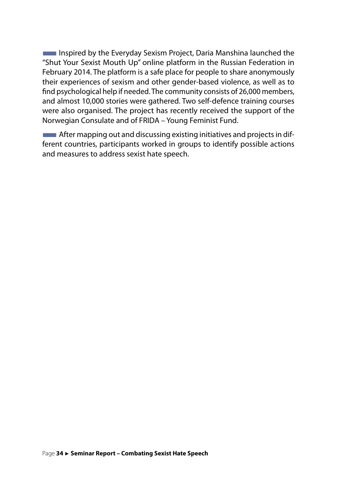**Inspired by the Everyday Sexism Project, Daria Manshina launched the** "Shut Your Sexist Mouth Up" online platform in the Russian Federation in February 2014. The platform is a safe place for people to share anonymously their experiences of sexism and other gender-based violence, as well as to find psychological help if needed. The community consists of 26,000 members, and almost 10,000 stories were gathered. Two self-defence training courses were also organised. The project has recently received the support of the Norwegian Consulate and of FRIDA – Young Feminist Fund.

**EXECUTE:** After mapping out and discussing existing initiatives and projects in different countries, participants worked in groups to identify possible actions and measures to address sexist hate speech.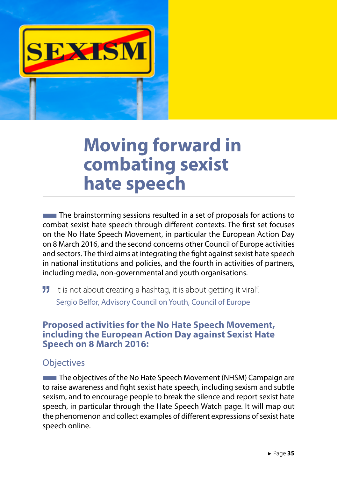<span id="page-36-0"></span>

### **Moving forward in combating sexist hate speech**

The brainstorming sessions resulted in a set of proposals for actions to combat sexist hate speech through different contexts. The first set focuses on the No Hate Speech Movement, in particular the European Action Day on 8 March 2016, and the second concerns other Council of Europe activities and sectors. The third aims at integrating the fight against sexist hate speech in national institutions and policies, and the fourth in activities of partners, including media, non-governmental and youth organisations.

**II** It is not about creating a hashtag, it is about getting it viral". Sergio Belfor, Advisory Council on Youth, Council of Europe

#### **Proposed activities for the No Hate Speech Movement, including the European Action Day against Sexist Hate Speech on 8 March 2016:**

#### **Objectives**

**The objectives of the No Hate Speech Movement (NHSM) Campaign are** to raise awareness and fight sexist hate speech, including sexism and subtle sexism, and to encourage people to break the silence and report sexist hate speech, in particular through the Hate Speech Watch page. It will map out the phenomenon and collect examples of different expressions of sexist hate speech online.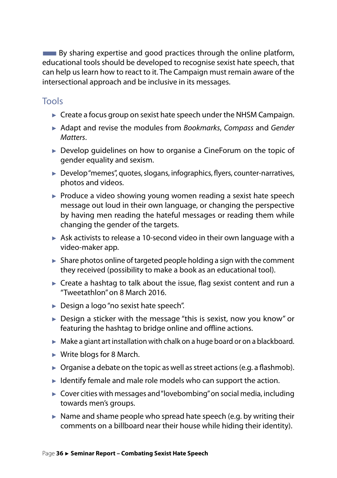$\blacksquare$  By sharing expertise and good practices through the online platform, educational tools should be developed to recognise sexist hate speech, that can help us learn how to react to it. The Campaign must remain aware of the intersectional approach and be inclusive in its messages.

#### Tools

- $\triangleright$  Create a focus group on sexist hate speech under the NHSM Campaign.
- ► Adapt and revise the modules from *Bookmarks*, *Compass* and *Gender Matters*.
- ► Develop guidelines on how to organise a CineForum on the topic of gender equality and sexism.
- ► Develop "memes", quotes, slogans, infographics, flyers, counter-narratives, photos and videos.
- $\blacktriangleright$  Produce a video showing young women reading a sexist hate speech message out loud in their own language, or changing the perspective by having men reading the hateful messages or reading them while changing the gender of the targets.
- ► Ask activists to release a 10-second video in their own language with a video-maker app.
- $\blacktriangleright$  Share photos online of targeted people holding a sign with the comment they received (possibility to make a book as an educational tool).
- $\blacktriangleright$  Create a hashtag to talk about the issue, flag sexist content and run a "Tweetathlon" on 8 March 2016.
- ► Design a logo "no sexist hate speech".
- ► Design a sticker with the message "this is sexist, now you know" or featuring the hashtag to bridge online and offline actions.
- $\blacktriangleright$  Make a giant art installation with chalk on a huge board or on a blackboard.
- ► Write blogs for 8 March.
- $\triangleright$  Organise a debate on the topic as well as street actions (e.g. a flashmob).
- $\blacktriangleright$  Identify female and male role models who can support the action.
- ► Cover cities with messages and "lovebombing" on social media, including towards men's groups.
- $\triangleright$  Name and shame people who spread hate speech (e.g. by writing their comments on a billboard near their house while hiding their identity).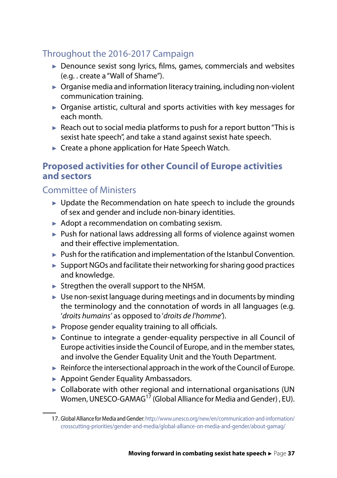#### <span id="page-38-0"></span>Throughout the 2016-2017 Campaign

- ► Denounce sexist song lyrics, films, games, commercials and websites (e.g. . create a "Wall of Shame").
- ► Organise media and information literacy training, including non-violent communication training.
- ► Organise artistic, cultural and sports activities with key messages for each month.
- ► Reach out to social media platforms to push for a report button "This is sexist hate speech", and take a stand against sexist hate speech.
- ► Create a phone application for Hate Speech Watch.

#### **Proposed activities for other Council of Europe activities and sectors**

#### Committee of Ministers

- ► Update the Recommendation on hate speech to include the grounds of sex and gender and include non-binary identities.
- ► Adopt a recommendation on combating sexism.
- ► Push for national laws addressing all forms of violence against women and their effective implementation.
- ► Push for the ratification and implementation of the Istanbul Convention.
- $\blacktriangleright$  Support NGOs and facilitate their networking for sharing good practices and knowledge.
- $\blacktriangleright$  Stregthen the overall support to the NHSM.
- $\blacktriangleright$  Use non-sexist language during meetings and in documents by minding the terminology and the connotation of words in all languages (e.g. '*droits humains'* as opposed to '*droits de l'homme'*).
- $\blacktriangleright$  Propose gender equality training to all officials.
- ► Continue to integrate a gender-equality perspective in all Council of Europe activities inside the Council of Europe, and in the member states, and involve the Gender Equality Unit and the Youth Department.
- $\blacktriangleright$  Reinforce the intersectional approach in the work of the Council of Europe.
- ► Appoint Gender Equality Ambassadors.
- ► Collaborate with other regional and international organisations (UN Women, UNESCO-GAMAG<sup>17</sup> (Global Alliance for Media and Gender), EU).

<sup>17.</sup> Global Alliance for Media and Gender: http://www.unesco.org/new/en/communication-and-information/ crosscutting-priorities/gender-and-media/global-alliance-on-media-and-gender/about-gamag/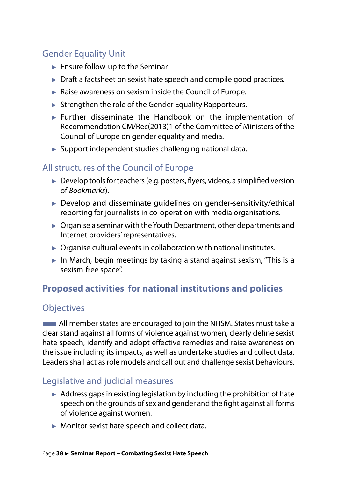#### <span id="page-39-0"></span>Gender Equality Unit

- ► Ensure follow-up to the Seminar.
- ► Draft a factsheet on sexist hate speech and compile good practices.
- ► Raise awareness on sexism inside the Council of Europe.
- ► Strengthen the role of the Gender Equality Rapporteurs.
- ► Further disseminate the Handbook on the implementation of Recommendation CM/Rec(2013)1 of the Committee of Ministers of the Council of Europe on gender equality and media.
- ► Support independent studies challenging national data.

#### All structures of the Council of Europe

- ► Develop tools for teachers (e.g. posters, flyers, videos, a simplified version of *Bookmarks*).
- ► Develop and disseminate quidelines on gender-sensitivity/ethical reporting for journalists in co-operation with media organisations.
- ► Organise a seminar with the Youth Department, other departments and Internet providers' representatives.
- ► Organise cultural events in collaboration with national institutes.
- ► In March, begin meetings by taking a stand against sexism, "This is a sexism-free space".

#### **Proposed activities for national institutions and policies**

#### **Objectives**

**EXTEM** All member states are encouraged to join the NHSM. States must take a clear stand against all forms of violence against women, clearly define sexist hate speech, identify and adopt effective remedies and raise awareness on the issue including its impacts, as well as undertake studies and collect data. Leaders shall act as role models and call out and challenge sexist behaviours.

#### Legislative and judicial measures

- $\blacktriangleright$  Address gaps in existing legislation by including the prohibition of hate speech on the grounds of sex and gender and the fight against all forms of violence against women.
- ► Monitor sexist hate speech and collect data.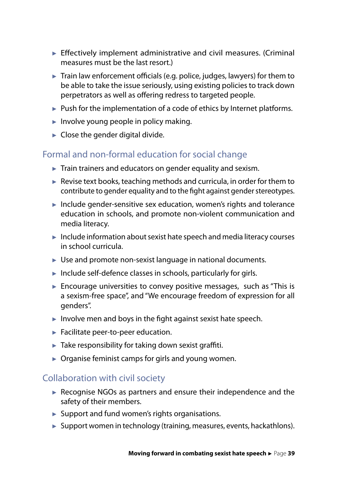- ► Effectively implement administrative and civil measures. (Criminal measures must be the last resort.)
- ► Train law enforcement officials (e.g. police, judges, lawyers) for them to be able to take the issue seriously, using existing policies to track down perpetrators as well as offering redress to targeted people.
- ► Push for the implementation of a code of ethics by Internet platforms.
- ► Involve young people in policy making.
- $\blacktriangleright$  Close the gender digital divide.

#### Formal and non-formal education for social change

- $\blacktriangleright$  Train trainers and educators on gender equality and sexism.
- $\blacktriangleright$  Revise text books, teaching methods and curricula, in order for them to contribute to gender equality and to the fight against gender stereotypes.
- ► Include gender-sensitive sex education, women's rights and tolerance education in schools, and promote non-violent communication and media literacy.
- $\blacktriangleright$  Include information about sexist hate speech and media literacy courses in school curricula.
- ► Use and promote non-sexist language in national documents.
- ► Include self-defence classes in schools, particularly for girls.
- $\blacktriangleright$  Encourage universities to convey positive messages, such as "This is a sexism-free space", and "We encourage freedom of expression for all genders".
- $\blacktriangleright$  Involve men and boys in the fight against sexist hate speech.
- ► Facilitate peer-to-peer education.
- $\blacktriangleright$  Take responsibility for taking down sexist graffiti.
- $\triangleright$  Organise feminist camps for girls and young women.

#### Collaboration with civil society

- ► Recognise NGOs as partners and ensure their independence and the safety of their members.
- $\blacktriangleright$  Support and fund women's rights organisations.
- ► Support women in technology (training, measures, events, hackathlons).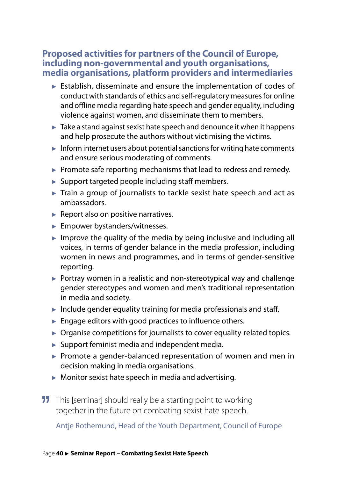#### <span id="page-41-0"></span>**Proposed activities for partners of the Council of Europe, including non-governmental and youth organisations, media organisations, platform providers and intermediaries**

- ► Establish, disseminate and ensure the implementation of codes of conduct with standards of ethics and self-regulatory measures for online and offline media regarding hate speech and gender equality, including violence against women, and disseminate them to members.
- $\blacktriangleright$  Take a stand against sexist hate speech and denounce it when it happens and help prosecute the authors without victimising the victims.
- ► Inform internet users about potential sanctions for writing hate comments and ensure serious moderating of comments.
- ► Promote safe reporting mechanisms that lead to redress and remedy.
- ► Support targeted people including staff members.
- ► Train a group of journalists to tackle sexist hate speech and act as ambassadors.
- ► Report also on positive narratives.
- ► Empower bystanders/witnesses.
- $\blacktriangleright$  Improve the quality of the media by being inclusive and including all voices, in terms of gender balance in the media profession, including women in news and programmes, and in terms of gender-sensitive reporting.
- ► Portray women in a realistic and non-stereotypical way and challenge gender stereotypes and women and men's traditional representation in media and society.
- $\blacktriangleright$  Include gender equality training for media professionals and staff.
- $\blacktriangleright$  Engage editors with good practices to influence others.
- ► Organise competitions for journalists to cover equality-related topics.
- ► Support feminist media and independent media.
- ► Promote a gender-balanced representation of women and men in decision making in media organisations.
- ► Monitor sexist hate speech in media and advertising.
- **11** This [seminar] should really be a starting point to working together in the future on combating sexist hate speech.

Antje Rothemund, Head of the Youth Department, Council of Europe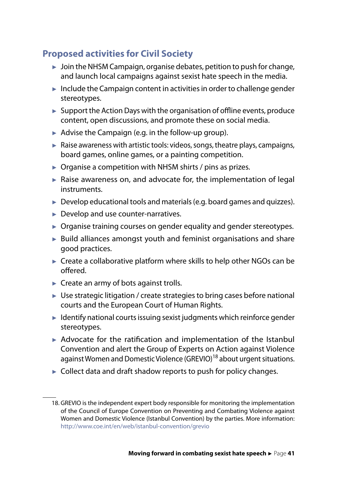#### <span id="page-42-0"></span>**Proposed activities for Civil Society**

- $\blacktriangleright$  Join the NHSM Campaign, organise debates, petition to push for change, and launch local campaigns against sexist hate speech in the media.
- $\blacktriangleright$  Include the Campaign content in activities in order to challenge gender stereotypes.
- ► Support the Action Days with the organisation of offline events, produce content, open discussions, and promote these on social media.
- ► Advise the Campaign (e.g. in the follow-up group).
- $\blacktriangleright$  Raise awareness with artistic tools: videos, songs, theatre plays, campaigns, board games, online games, or a painting competition.
- $\triangleright$  Organise a competition with NHSM shirts / pins as prizes.
- $\blacktriangleright$  Raise awareness on, and advocate for, the implementation of legal instruments.
- ► Develop educational tools and materials (e.g. board games and quizzes).
- ► Develop and use counter-narratives.
- ► Organise training courses on gender equality and gender stereotypes.
- ► Build alliances amongst youth and feminist organisations and share good practices.
- ► Create a collaborative platform where skills to help other NGOs can be offered.
- ► Create an army of bots against trolls.
- $\blacktriangleright$  Use strategic litigation / create strategies to bring cases before national courts and the European Court of Human Rights.
- ► Identify national courts issuing sexist judgments which reinforce gender stereotypes.
- ► Advocate for the ratification and implementation of the Istanbul Convention and alert the Group of Experts on Action against Violence against Women and Domestic Violence (GREVIO)<sup>18</sup> about urgent situations.
- ► Collect data and draft shadow reports to push for policy changes.

<sup>18.</sup> GREVIO is the independent expert body responsible for monitoring the implementation of the Council of Europe Convention on Preventing and Combating Violence against Women and Domestic Violence (Istanbul Convention) by the parties. More information: http://www.coe.int/en/web/istanbul-convention/grevio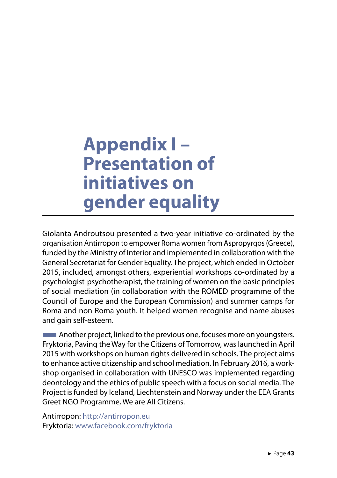### <span id="page-44-0"></span>**Appendix I – Presentation of initiatives on gender equality**

Giolanta Androutsou presented a two-year initiative co-ordinated by the organisation Antirropon to empower Roma women from Aspropyrgos (Greece), funded by the Ministry of Interior and implemented in collaboration with the General Secretariat for Gender Equality. The project, which ended in October 2015, included, amongst others, experiential workshops co-ordinated by a psychologist-psychotherapist, the training of women on the basic principles of social mediation (in collaboration with the ROMED programme of the Council of Europe and the European Commission) and summer camps for Roma and non-Roma youth. It helped women recognise and name abuses and gain self-esteem.

**EXALCOREGIST:** Another project, linked to the previous one, focuses more on youngsters. Fryktoria, Paving the Way for the Citizens of Tomorrow, was launched in April 2015 with workshops on human rights delivered in schools. The project aims to enhance active citizenship and school mediation. In February 2016, a workshop organised in collaboration with UNESCO was implemented regarding deontology and the ethics of public speech with a focus on social media. The Project is funded by Iceland, Liechtenstein and Norway under the EEA Grants Greet NGO Programme, We are All Citizens.

Antirropon: http://antirropon.eu Fryktoria: www.facebook.com/fryktoria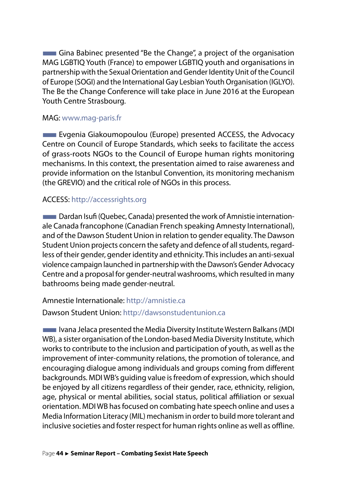**The Gina Babinec presented "Be the Change", a project of the organisation** MAG LGBTIQ Youth (France) to empower LGBTIQ youth and organisations in partnership with the Sexual Orientation and Gender Identity Unit of the Council of Europe (SOGI) and the International Gay Lesbian Youth Organisation (IGLYO). The Be the Change Conference will take place in June 2016 at the European Youth Centre Strasbourg.

#### MAG: www.mag-paris.fr

**Evgenia Giakoumopoulou (Europe) presented ACCESS, the Advocacy** Centre on Council of Europe Standards, which seeks to facilitate the access of grass-roots NGOs to the Council of Europe human rights monitoring mechanisms. In this context, the presentation aimed to raise awareness and provide information on the Istanbul Convention, its monitoring mechanism (the GREVIO) and the critical role of NGOs in this process.

#### ACCESS: http://accessrights.org

**EXTED Dardan Isufi (Quebec, Canada) presented the work of Amnistie internation**ale Canada francophone (Canadian French speaking Amnesty International), and of the Dawson Student Union in relation to gender equality. The Dawson Student Union projects concern the safety and defence of all students, regardless of their gender, gender identity and ethnicity. This includes an anti-sexual violence campaign launched in partnership with the Dawson's Gender Advocacy Centre and a proposal for gender-neutral washrooms, which resulted in many bathrooms being made gender-neutral.

Amnestie Internationale: http://amnistie.ca Dawson Student Union: http://dawsonstudentunion.ca

**The Ivana Jelaca presented the Media Diversity Institute Western Balkans (MDI** WB), a sister organisation of the London-based Media Diversity Institute, which works to contribute to the inclusion and participation of youth, as well as the improvement of inter-community relations, the promotion of tolerance, and encouraging dialogue among individuals and groups coming from different backgrounds. MDI WB's guiding value is freedom of expression, which should be enjoyed by all citizens regardless of their gender, race, ethnicity, religion, age, physical or mental abilities, social status, political affiliation or sexual orientation. MDI WB has focused on combating hate speech online and uses a Media Information Literacy (MIL) mechanism in order to build more tolerant and inclusive societies and foster respect for human rights online as well as offline.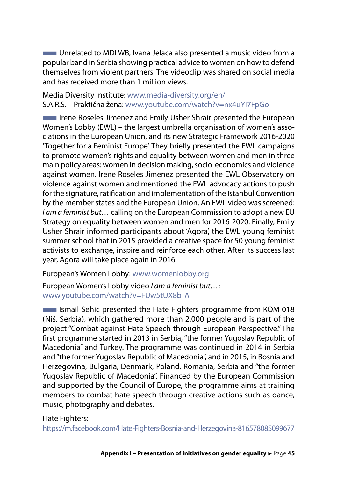■Unrelated to MDI WB, Ivana Jelaca also presented a music video from a popular band in Serbia showing practical advice to women on how to defend themselves from violent partners. The videoclip was shared on social media and has received more than 1 million views.

Media Diversity Institute: www.media-diversity.org/en/ S.A.R.S. – Praktična žena: www.youtube.com/watch?v=nx4uYI7FpGo

Irene Roseles Jimenez and Emily Usher Shrair presented the European Women's Lobby (EWL) – the largest umbrella organisation of women's associations in the European Union, and its new Strategic Framework 2016-2020 'Together for a Feminist Europe'. They briefly presented the EWL campaigns to promote women's rights and equality between women and men in three main policy areas: women in decision making, socio-economics and violence against women. Irene Roseles Jimenez presented the EWL Observatory on violence against women and mentioned the EWL advocacy actions to push for the signature, ratification and implementation of the Istanbul Convention by the member states and the European Union. An EWL video was screened: *I am a feminist but…* calling on the European Commission to adopt a new EU Strategy on equality between women and men for 2016-2020. Finally, Emily Usher Shrair informed participants about 'Agora', the EWL young feminist summer school that in 2015 provided a creative space for 50 young feminist activists to exchange, inspire and reinforce each other. After its success last year, Agora will take place again in 2016.

European's Women Lobby: www.womenlobby.org

European Women's Lobby video *I am a feminist but…*: www.youtube.com/watch?v=FUw5tUX8bTA

**EXECUTE:** Ismail Sehic presented the Hate Fighters programme from KOM 018 (Niš, Serbia), which gathered more than 2,000 people and is part of the project "Combat against Hate Speech through European Perspective." The first programme started in 2013 in Serbia, "the former Yugoslav Republic of Macedonia" and Turkey. The programme was continued in 2014 in Serbia and "the former Yugoslav Republic of Macedonia", and in 2015, in Bosnia and Herzegovina, Bulgaria, Denmark, Poland, Romania, Serbia and "the former Yugoslav Republic of Macedonia". Financed by the European Commission and supported by the Council of Europe, the programme aims at training members to combat hate speech through creative actions such as dance, music, photography and debates.

#### Hate Fighters:

https://m.facebook.com/Hate-Fighters-Bosnia-and-Herzegovina-816578085099677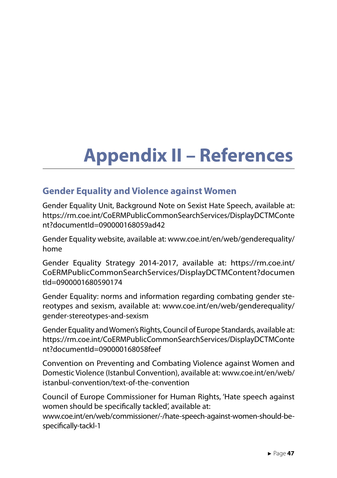## <span id="page-48-0"></span>**Appendix II – References**

#### **Gender Equality and Violence against Women**

Gender Equality Unit, Background Note on Sexist Hate Speech, available at: https://rm.coe.int/CoERMPublicCommonSearchServices/DisplayDCTMConte nt?documentId=090000168059ad42

Gender Equality website, available at: www.coe.int/en/web/genderequality/ home

Gender Equality Strategy 2014-2017, available at: https://rm.coe.int/ CoERMPublicCommonSearchServices/DisplayDCTMContent?documen tId=0900001680590174

Gender Equality: norms and information regarding combating gender stereotypes and sexism, available at: www.coe.int/en/web/genderequality/ gender-stereotypes-and-sexism

Gender Equality and Women's Rights, Council of Europe Standards, available at: https://rm.coe.int/CoERMPublicCommonSearchServices/DisplayDCTMConte nt?documentId=090000168058feef

Convention on Preventing and Combating Violence against Women and Domestic Violence (Istanbul Convention), available at: www.coe.int/en/web/ istanbul-convention/text-of-the-convention

Council of Europe Commissioner for Human Rights, 'Hate speech against women should be specifically tackled', available at:

www.coe.int/en/web/commissioner/-/hate-speech-against-women-should-bespecifically-tackl-1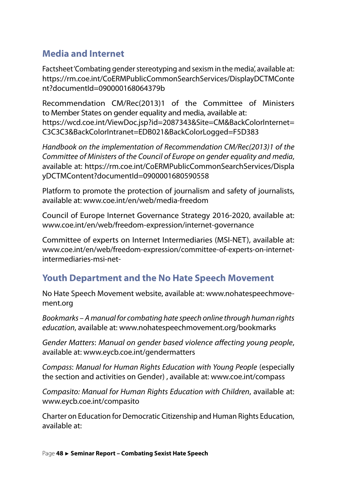#### <span id="page-49-0"></span>**Media and Internet**

Factsheet 'Combating gender stereotyping and sexism in the media', available at: https://rm.coe.int/CoERMPublicCommonSearchServices/DisplayDCTMConte nt?documentId=090000168064379b

Recommendation CM/Rec(2013)1 of the Committee of Ministers to Member States on gender equality and media, available at: https://wcd.coe.int/ViewDoc.jsp?id=2087343&Site=CM&BackColorInternet= C3C3C3&BackColorIntranet=EDB021&BackColorLogged=F5D383

*Handbook on the implementation of Recommendation CM/Rec(2013)1 of the Committee of Ministers of the Council of Europe on gender equality and media*, available at: https://rm.coe.int/CoERMPublicCommonSearchServices/Displa yDCTMContent?documentId=0900001680590558

Platform to promote the protection of journalism and safety of journalists, available at: www.coe.int/en/web/media-freedom

Council of Europe Internet Governance Strategy 2016-2020, available at: www.coe.int/en/web/freedom-expression/internet-governance

Committee of experts on Internet Intermediaries (MSI-NET), available at: www.coe.int/en/web/freedom-expression/committee-of-experts-on-internetintermediaries-msi-net-

#### **Youth Department and the No Hate Speech Movement**

No Hate Speech Movement website, available at: www.nohatespeechmovement.org

*Bookmarks – A manual for combating hate speech online through human rights education*, available at: www.nohatespeechmovement.org/bookmarks

*Gender Matters*: *Manual on gender based violence affecting young people*, available at: www.eycb.coe.int/gendermatters

*Compass*: *Manual for Human Rights Education with Young People* (especially the section and activities on Gender) , available at: www.coe.int/compass

*Compasito: Manual for Human Rights Education with Children*, available at: www.eycb.coe.int/compasito

Charter on Education for Democratic Citizenship and Human Rights Education, available at: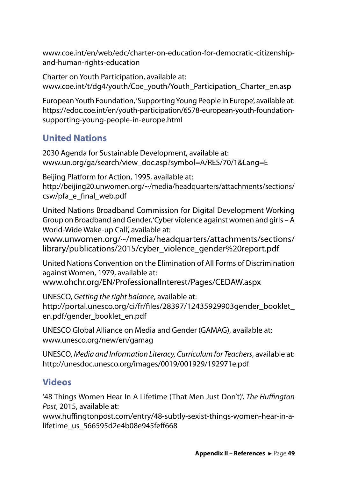<span id="page-50-0"></span>www.coe.int/en/web/edc/charter-on-education-for-democratic-citizenshipand-human-rights-education

Charter on Youth Participation, available at: www.coe.int/t/dg4/youth/Coe\_youth/Youth\_Participation\_Charter\_en.asp

European Youth Foundation, 'Supporting Young People in Europe', available at: https://edoc.coe.int/en/youth-participation/6578-european-youth-foundationsupporting-young-people-in-europe.html

#### **United Nations**

2030 Agenda for Sustainable Development, available at: www.un.org/ga/search/view\_doc.asp?symbol=A/RES/70/1&Lang=E

Beijing Platform for Action, 1995, available at: http://beijing20.unwomen.org/~/media/headquarters/attachments/sections/ csw/pfa\_e\_final\_web.pdf

United Nations Broadband Commission for Digital Development Working Group on Broadband and Gender, 'Cyber violence against women and girls – A World-Wide Wake-up Call', available at:

www.unwomen.org/~/media/headquarters/attachments/sections/ library/publications/2015/cyber\_violence\_gender%20report.pdf

United Nations Convention on the Elimination of All Forms of Discrimination against Women, 1979, available at: www.ohchr.org/EN/ProfessionalInterest/Pages/CEDAW.aspx

UNESCO, *Getting the right balance*, available at: http://portal.unesco.org/ci/fr/files/28397/12435929903gender\_booklet\_ en.pdf/gender\_booklet\_en.pdf

UNESCO Global Alliance on Media and Gender (GAMAG), available at: www.unesco.org/new/en/gamag

UNESCO, *Media and Information Literacy, Curriculum for Teachers*, available at: http://unesdoc.unesco.org/images/0019/001929/192971e.pdf

#### **Videos**

'48 Things Women Hear In A Lifetime (That Men Just Don't)', *The Huffington Post*, 2015, available at:

www.huffingtonpost.com/entry/48-subtly-sexist-things-women-hear-in-alifetime\_us\_566595d2e4b08e945feff668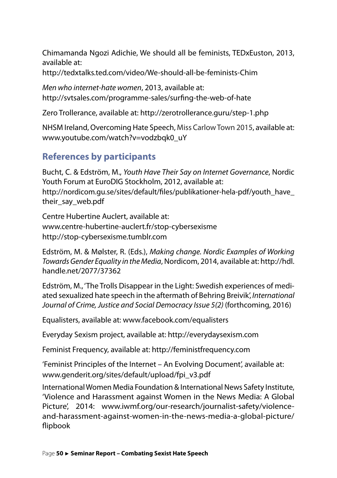<span id="page-51-0"></span>Chimamanda Ngozi Adichie, We should all be feminists, TEDxEuston, 2013, available at:

http://tedxtalks.ted.com/video/We-should-all-be-feminists-Chim

*Men who internet-hate women*, 2013, available at: http://svtsales.com/programme-sales/surfing-the-web-of-hate

Zero Trollerance, available at: http://zerotrollerance.guru/step-1.php

NHSM Ireland, Overcoming Hate Speech, Miss Carlow Town 2015, available at: www.youtube.com/watch?v=vodzbqk0\_uY

#### **References by participants**

Bucht, C. & Edström, M., *Youth Have Their Say on Internet Governance*, Nordic Youth Forum at EuroDIG Stockholm, 2012, available at: http://nordicom.gu.se/sites/default/files/publikationer-hela-pdf/youth\_have\_ their\_say\_web.pdf

Centre Hubertine Auclert, available at: www.centre-hubertine-auclert.fr/stop-cybersexisme http://stop-cybersexisme.tumblr.com

Edström, M. & Mølster, R. (Eds.), *Making change. Nordic Examples of Working Towards Gender Equality in the Media*, Nordicom, 2014, available at: http://hdl. handle.net/2077/37362

Edström, M., 'The Trolls Disappear in the Light: Swedish experiences of mediated sexualized hate speech in the aftermath of Behring Breivik', *International Journal of Crime, Justice and Social Democracy Issue 5(2)* (forthcoming, 2016)

Equalisters, available at: www.facebook.com/equalisters

Everyday Sexism project, available at: http://everydaysexism.com

Feminist Frequency, available at: http://feministfrequency.com

'Feminist Principles of the Internet – An Evolving Document', available at: www.genderit.org/sites/default/upload/fpi\_v3.pdf

International Women Media Foundation & International News Safety Institute, 'Violence and Harassment against Women in the News Media: A Global Picture', 2014: www.iwmf.org/our-research/journalist-safety/violenceand-harassment-against-women-in-the-news-media-a-global-picture/ flipbook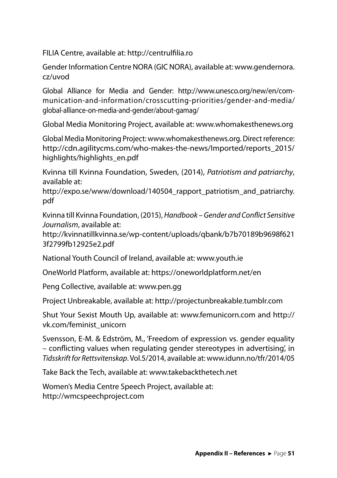FILIA Centre, available at: http://centrulfilia.ro

Gender Information Centre NORA (GIC NORA), available at: www.gendernora. cz/uvod

Global Alliance for Media and Gender: http://www.unesco.org/new/en/communication-and-information/crosscutting-priorities/gender-and-media/ global-alliance-on-media-and-gender/about-gamag/

Global Media Monitoring Project, available at: www.whomakesthenews.org

Global Media Monitoring Project: www.whomakesthenews.org. Direct reference: http://cdn.agilitycms.com/who-makes-the-news/Imported/reports\_2015/ highlights/highlights\_en.pdf

Kvinna till Kvinna Foundation, Sweden, (2014), *Patriotism and patriarchy*, available at:

http://expo.se/www/download/140504 rapport patriotism and patriarchy. pdf

Kvinna till Kvinna Foundation, (2015), *Handbook – Gender and Conflict Sensitive Journalism*, available at:

http://kvinnatillkvinna.se/wp-content/uploads/qbank/b7b70189b9698f621 3f2799fb12925e2.pdf

National Youth Council of Ireland, available at: www.youth.ie

OneWorld Platform, available at: https://oneworldplatform.net/en

Peng Collective, available at: www.pen.gg

Project Unbreakable, available at: http://projectunbreakable.tumblr.com

Shut Your Sexist Mouth Up, available at: www.femunicorn.com and http:// vk.com/feminist\_unicorn

Svensson, E-M. & Edström, M., 'Freedom of expression vs. gender equality – conflicting values when regulating gender stereotypes in advertising', in *Tidsskrift for Rettsvitenskap*. Vol.5/2014, available at: www.idunn.no/tfr/2014/05

Take Back the Tech, available at: www.takebackthetech.net

Women's Media Centre Speech Project, available at: http://wmcspeechproject.com